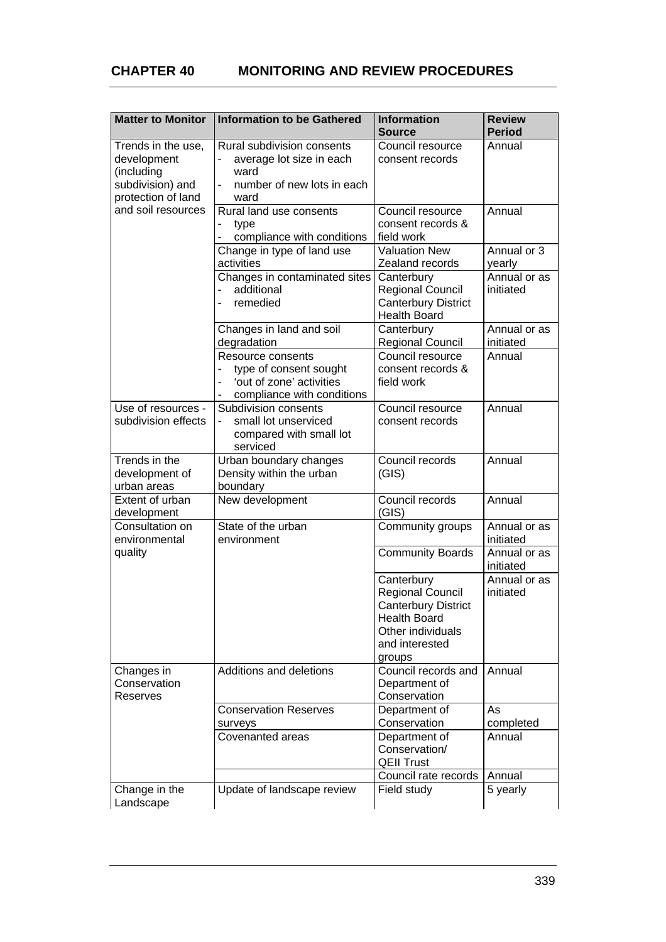| <b>Matter to Monitor</b>                                                                                        | <b>Information to be Gathered</b>                                                                                      | <b>Information</b><br><b>Source</b>                                                                                                         | <b>Review</b><br><b>Period</b> |
|-----------------------------------------------------------------------------------------------------------------|------------------------------------------------------------------------------------------------------------------------|---------------------------------------------------------------------------------------------------------------------------------------------|--------------------------------|
| Trends in the use,<br>development<br>(including<br>subdivision) and<br>protection of land<br>and soil resources | Rural subdivision consents<br>average lot size in each<br>ward<br>number of new lots in each<br>$\blacksquare$<br>ward | Council resource<br>consent records                                                                                                         | Annual                         |
|                                                                                                                 | Rural land use consents<br>type<br>compliance with conditions                                                          | Council resource<br>consent records &<br>field work                                                                                         | Annual                         |
|                                                                                                                 | Change in type of land use                                                                                             | <b>Valuation New</b>                                                                                                                        | Annual or 3                    |
|                                                                                                                 | activities                                                                                                             | Zealand records                                                                                                                             | yearly                         |
|                                                                                                                 | Changes in contaminated sites<br>additional<br>remedied                                                                | Canterbury<br>Regional Council<br><b>Canterbury District</b><br><b>Health Board</b>                                                         | Annual or as<br>initiated      |
|                                                                                                                 | Changes in land and soil<br>degradation                                                                                | Canterbury<br><b>Regional Council</b>                                                                                                       | Annual or as<br>initiated      |
|                                                                                                                 | Resource consents<br>type of consent sought<br>'out of zone' activities<br>compliance with conditions                  | Council resource<br>consent records &<br>field work                                                                                         | Annual                         |
| Use of resources -<br>subdivision effects                                                                       | Subdivision consents<br>small lot unserviced<br>÷.<br>compared with small lot<br>serviced                              | Council resource<br>consent records                                                                                                         | Annual                         |
| Trends in the<br>development of<br>urban areas                                                                  | Urban boundary changes<br>Density within the urban<br>boundary                                                         | Council records<br>(GIS)                                                                                                                    | Annual                         |
| Extent of urban<br>development                                                                                  | New development                                                                                                        | Council records<br>(GIS)                                                                                                                    | Annual                         |
| Consultation on<br>environmental                                                                                | State of the urban<br>environment                                                                                      | Community groups                                                                                                                            | Annual or as<br>initiated      |
| quality                                                                                                         |                                                                                                                        | <b>Community Boards</b>                                                                                                                     | Annual or as<br>initiated      |
|                                                                                                                 |                                                                                                                        | Canterbury<br><b>Regional Council</b><br><b>Canterbury District</b><br><b>Health Board</b><br>Other individuals<br>and interested<br>groups | Annual or as<br>initiated      |
| Changes in<br>Conservation<br>Reserves                                                                          | Additions and deletions                                                                                                | Council records and<br>Department of<br>Conservation                                                                                        | Annual                         |
|                                                                                                                 | <b>Conservation Reserves</b><br>surveys                                                                                | Department of<br>Conservation                                                                                                               | As<br>completed                |
|                                                                                                                 | Covenanted areas                                                                                                       | Department of<br>Conservation/<br><b>QEII Trust</b>                                                                                         | Annual                         |
|                                                                                                                 |                                                                                                                        | Council rate records                                                                                                                        | Annual                         |
| Change in the<br>Landscape                                                                                      | Update of landscape review                                                                                             | Field study                                                                                                                                 | 5 yearly                       |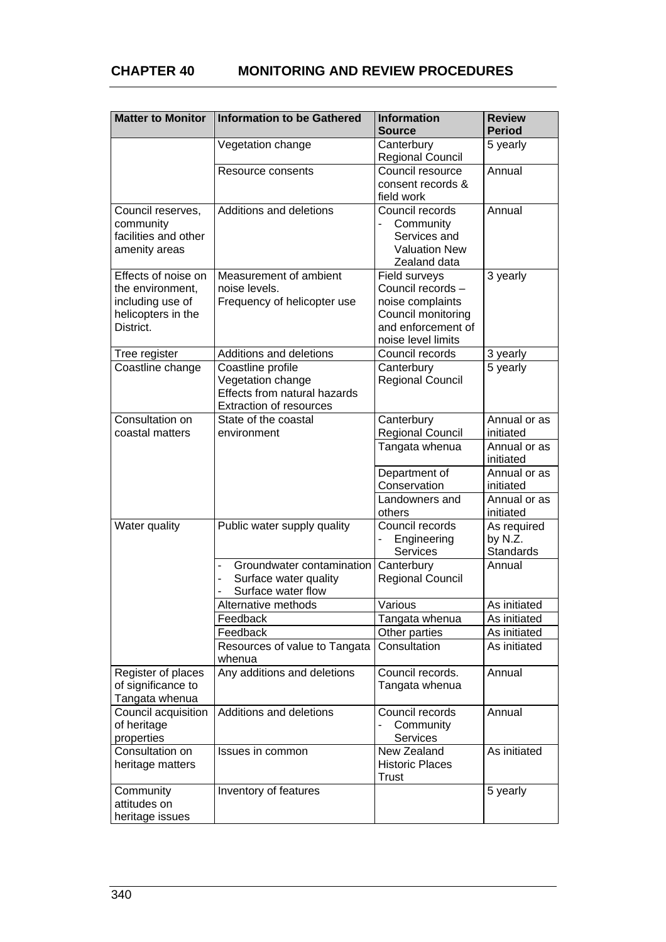## **CHAPTER 40 MONITORING AND REVIEW PROCEDURES**

| <b>Matter to Monitor</b>                                                                       | <b>Information to be Gathered</b>                                                                        | <b>Information</b><br><b>Source</b>                                                                                      | <b>Review</b><br><b>Period</b>             |
|------------------------------------------------------------------------------------------------|----------------------------------------------------------------------------------------------------------|--------------------------------------------------------------------------------------------------------------------------|--------------------------------------------|
|                                                                                                | Vegetation change                                                                                        | Canterbury<br><b>Regional Council</b>                                                                                    | 5 yearly                                   |
|                                                                                                | Resource consents                                                                                        | Council resource<br>consent records &<br>field work                                                                      | Annual                                     |
| Council reserves,<br>community<br>facilities and other<br>amenity areas                        | Additions and deletions                                                                                  | Council records<br>Community<br>Services and<br><b>Valuation New</b><br>Zealand data                                     | Annual                                     |
| Effects of noise on<br>the environment,<br>including use of<br>helicopters in the<br>District. | Measurement of ambient<br>noise levels.<br>Frequency of helicopter use                                   | Field surveys<br>Council records -<br>noise complaints<br>Council monitoring<br>and enforcement of<br>noise level limits | 3 yearly                                   |
| Tree register                                                                                  | Additions and deletions                                                                                  | Council records                                                                                                          | 3 yearly                                   |
| Coastline change                                                                               | Coastline profile<br>Vegetation change<br>Effects from natural hazards<br><b>Extraction of resources</b> | Canterbury<br><b>Regional Council</b>                                                                                    | 5 yearly                                   |
| Consultation on<br>coastal matters                                                             | State of the coastal<br>environment                                                                      | Canterbury<br>Regional Council                                                                                           | Annual or as<br>initiated                  |
|                                                                                                |                                                                                                          | Tangata whenua                                                                                                           | Annual or as<br>initiated                  |
|                                                                                                |                                                                                                          | Department of<br>Conservation                                                                                            | Annual or as<br>initiated                  |
|                                                                                                |                                                                                                          | Landowners and<br>others                                                                                                 | Annual or as<br>initiated                  |
| Water quality                                                                                  | Public water supply quality                                                                              | Council records<br>Engineering<br>Services                                                                               | As required<br>by N.Z.<br><b>Standards</b> |
|                                                                                                | Groundwater contamination<br>÷,<br>Surface water quality<br>$\overline{a}$<br>Surface water flow         | Canterbury<br><b>Regional Council</b>                                                                                    | Annual                                     |
|                                                                                                | Alternative methods                                                                                      | Various                                                                                                                  | As initiated                               |
|                                                                                                | Feedback                                                                                                 | Tangata whenua                                                                                                           | As initiated                               |
|                                                                                                | Feedback                                                                                                 | Other parties                                                                                                            | As initiated                               |
|                                                                                                | Resources of value to Tangata<br>whenua                                                                  | Consultation                                                                                                             | As initiated                               |
| Register of places<br>of significance to<br>Tangata whenua                                     | Any additions and deletions                                                                              | Council records.<br>Tangata whenua                                                                                       | Annual                                     |
| Council acquisition<br>of heritage<br>properties                                               | Additions and deletions                                                                                  | Council records<br>Community<br>Services                                                                                 | Annual                                     |
| Consultation on<br>heritage matters                                                            | Issues in common                                                                                         | New Zealand<br><b>Historic Places</b><br>Trust                                                                           | As initiated                               |
| Community<br>attitudes on<br>heritage issues                                                   | Inventory of features                                                                                    |                                                                                                                          | 5 yearly                                   |